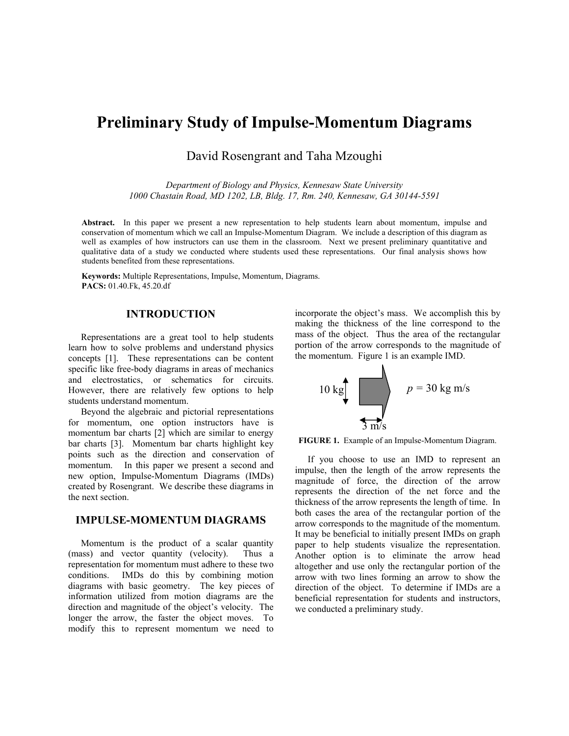# **Preliminary Study of Impulse-Momentum Diagrams**

David Rosengrant and Taha Mzoughi

*Department of Biology and Physics, Kennesaw State University 1000 Chastain Road, MD 1202, LB, Bldg. 17, Rm. 240, Kennesaw, GA 30144-5591* 

**Abstract.** In this paper we present a new representation to help students learn about momentum, impulse and conservation of momentum which we call an Impulse-Momentum Diagram. We include a description of this diagram as well as examples of how instructors can use them in the classroom. Next we present preliminary quantitative and qualitative data of a study we conducted where students used these representations. Our final analysis shows how students benefited from these representations.

**Keywords:** Multiple Representations, Impulse, Momentum, Diagrams. **PACS:** 01.40.Fk, 45.20.df

## **INTRODUCTION**

Representations are a great tool to help students learn how to solve problems and understand physics concepts [1]. These representations can be content specific like free-body diagrams in areas of mechanics and electrostatics, or schematics for circuits. However, there are relatively few options to help students understand momentum.

Beyond the algebraic and pictorial representations for momentum, one option instructors have is momentum bar charts [2] which are similar to energy bar charts [3]. Momentum bar charts highlight key points such as the direction and conservation of momentum. In this paper we present a second and new option, Impulse-Momentum Diagrams (IMDs) created by Rosengrant. We describe these diagrams in the next section.

## **IMPULSE-MOMENTUM DIAGRAMS**

Momentum is the product of a scalar quantity (mass) and vector quantity (velocity). Thus a representation for momentum must adhere to these two conditions. IMDs do this by combining motion diagrams with basic geometry. The key pieces of information utilized from motion diagrams are the direction and magnitude of the object's velocity. The longer the arrow, the faster the object moves. To modify this to represent momentum we need to

incorporate the object's mass. We accomplish this by making the thickness of the line correspond to the mass of the object. Thus the area of the rectangular portion of the arrow corresponds to the magnitude of the momentum. Figure 1 is an example IMD.



**FIGURE 1.** Example of an Impulse-Momentum Diagram.

If you choose to use an IMD to represent an impulse, then the length of the arrow represents the magnitude of force, the direction of the arrow represents the direction of the net force and the thickness of the arrow represents the length of time. In both cases the area of the rectangular portion of the arrow corresponds to the magnitude of the momentum. It may be beneficial to initially present IMDs on graph paper to help students visualize the representation. Another option is to eliminate the arrow head altogether and use only the rectangular portion of the arrow with two lines forming an arrow to show the direction of the object. To determine if IMDs are a beneficial representation for students and instructors, we conducted a preliminary study.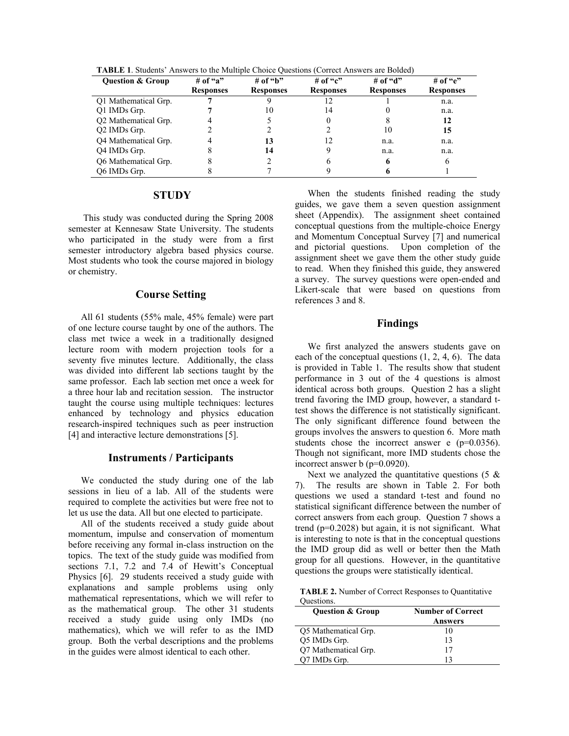| <b>Ouestion &amp; Group</b>      | # of "a"         | # of "b"         | # of "c"         | # of "d"         | # of " $e$ "     |
|----------------------------------|------------------|------------------|------------------|------------------|------------------|
|                                  | <b>Responses</b> | <b>Responses</b> | <b>Responses</b> | <b>Responses</b> | <b>Responses</b> |
| O1 Mathematical Grp.             |                  |                  |                  |                  | n.a.             |
| Q1 IMDs Grp.                     |                  | 10               | 14               |                  | n.a.             |
| O <sub>2</sub> Mathematical Grp. |                  |                  |                  |                  | 12               |
| Q2 IMDs Grp.                     |                  |                  |                  | 10               | 15               |
| O4 Mathematical Grp.             |                  | 13               |                  | n.a.             | n.a.             |
| Q4 IMDs Grp.                     |                  | 14               |                  | n.a.             | n.a.             |
| O6 Mathematical Grp.             |                  |                  |                  |                  | h                |
| O6 IMDs Grp.                     |                  |                  |                  |                  |                  |

**TABLE 1**. Students' Answers to the Multiple Choice Questions (Correct Answers are Bolded)

## **STUDY**

 This study was conducted during the Spring 2008 semester at Kennesaw State University. The students who participated in the study were from a first semester introductory algebra based physics course. Most students who took the course majored in biology or chemistry.

#### **Course Setting**

All 61 students (55% male, 45% female) were part of one lecture course taught by one of the authors. The class met twice a week in a traditionally designed lecture room with modern projection tools for a seventy five minutes lecture. Additionally, the class was divided into different lab sections taught by the same professor. Each lab section met once a week for a three hour lab and recitation session. The instructor taught the course using multiple techniques: lectures enhanced by technology and physics education research-inspired techniques such as peer instruction [4] and interactive lecture demonstrations [5].

#### **Instruments / Participants**

We conducted the study during one of the lab sessions in lieu of a lab. All of the students were required to complete the activities but were free not to let us use the data. All but one elected to participate.

All of the students received a study guide about momentum, impulse and conservation of momentum before receiving any formal in-class instruction on the topics. The text of the study guide was modified from sections 7.1, 7.2 and 7.4 of Hewitt's Conceptual Physics [6]. 29 students received a study guide with explanations and sample problems using only mathematical representations, which we will refer to as the mathematical group. The other 31 students received a study guide using only IMDs (no mathematics), which we will refer to as the IMD group. Both the verbal descriptions and the problems in the guides were almost identical to each other.

When the students finished reading the study guides, we gave them a seven question assignment sheet (Appendix). The assignment sheet contained conceptual questions from the multiple-choice Energy and Momentum Conceptual Survey [7] and numerical and pictorial questions. Upon completion of the assignment sheet we gave them the other study guide to read. When they finished this guide, they answered a survey. The survey questions were open-ended and Likert-scale that were based on questions from references 3 and 8.

### **Findings**

We first analyzed the answers students gave on each of the conceptual questions  $(1, 2, 4, 6)$ . The data is provided in Table 1. The results show that student performance in 3 out of the 4 questions is almost identical across both groups. Question 2 has a slight trend favoring the IMD group, however, a standard ttest shows the difference is not statistically significant. The only significant difference found between the groups involves the answers to question 6. More math students chose the incorrect answer e (p=0.0356). Though not significant, more IMD students chose the incorrect answer b (p=0.0920).

Next we analyzed the quantitative questions  $(5 \&$ 7). The results are shown in Table 2. For both questions we used a standard t-test and found no statistical significant difference between the number of correct answers from each group. Question 7 shows a trend  $(p=0.2028)$  but again, it is not significant. What is interesting to note is that in the conceptual questions the IMD group did as well or better then the Math group for all questions. However, in the quantitative questions the groups were statistically identical.

**TABLE 2.** Number of Correct Responses to Quantitative Questions.

| <b>Question &amp; Group</b> | <b>Number of Correct</b> |  |  |
|-----------------------------|--------------------------|--|--|
|                             | <b>Answers</b>           |  |  |
| Q5 Mathematical Grp.        | 10                       |  |  |
| Q5 IMDs Grp.                | 13                       |  |  |
| Q7 Mathematical Grp.        | 17                       |  |  |
| O7 IMDs Grp.                | 13                       |  |  |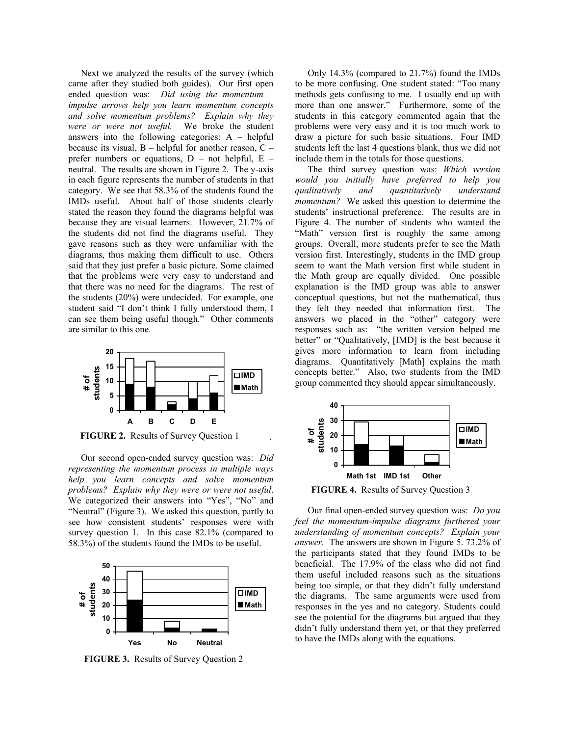Next we analyzed the results of the survey (which came after they studied both guides). Our first open ended question was: *Did using the momentum – impulse arrows help you learn momentum concepts and solve momentum problems? Explain why they were or were not useful.* We broke the student answers into the following categories:  $A - helpful$ because its visual,  $B$  – helpful for another reason,  $C$  – prefer numbers or equations,  $D - not helpful$ ,  $E$ neutral. The results are shown in Figure 2. The y-axis in each figure represents the number of students in that category. We see that 58.3% of the students found the IMDs useful. About half of those students clearly stated the reason they found the diagrams helpful was because they are visual learners. However, 21.7% of the students did not find the diagrams useful. They gave reasons such as they were unfamiliar with the diagrams, thus making them difficult to use. Others said that they just prefer a basic picture. Some claimed that the problems were very easy to understand and that there was no need for the diagrams. The rest of the students (20%) were undecided. For example, one student said "I don't think I fully understood them, I can see them being useful though." Other comments are similar to this one.



**FIGURE 2.** Results of Survey Question 1

.

Our second open-ended survey question was: *Did representing the momentum process in multiple ways help you learn concepts and solve momentum problems? Explain why they were or were not useful*. We categorized their answers into "Yes", "No" and "Neutral" (Figure 3). We asked this question, partly to see how consistent students' responses were with survey question 1. In this case 82.1% (compared to 58.3%) of the students found the IMDs to be useful.



**FIGURE 3.** Results of Survey Question 2

Only 14.3% (compared to 21.7%) found the IMDs to be more confusing. One student stated: "Too many methods gets confusing to me. I usually end up with more than one answer." Furthermore, some of the students in this category commented again that the problems were very easy and it is too much work to draw a picture for such basic situations. Four IMD students left the last 4 questions blank, thus we did not include them in the totals for those questions.

The third survey question was: *Which version would you initially have preferred to help you qualitatively and quantitatively understand momentum?* We asked this question to determine the students' instructional preference. The results are in Figure 4. The number of students who wanted the "Math" version first is roughly the same among groups. Overall, more students prefer to see the Math version first. Interestingly, students in the IMD group seem to want the Math version first while student in the Math group are equally divided. One possible explanation is the IMD group was able to answer conceptual questions, but not the mathematical, thus they felt they needed that information first. The answers we placed in the "other" category were responses such as: "the written version helped me better" or "Qualitatively, [IMD] is the best because it gives more information to learn from including diagrams. Quantitatively [Math] explains the math concepts better." Also, two students from the IMD group commented they should appear simultaneously.



Our final open-ended survey question was: *Do you feel the momentum-impulse diagrams furthered your understanding of momentum concepts? Explain your answer.* The answers are shown in Figure 5. 73.2% of the participants stated that they found IMDs to be beneficial. The 17.9% of the class who did not find them useful included reasons such as the situations being too simple, or that they didn't fully understand the diagrams. The same arguments were used from responses in the yes and no category. Students could see the potential for the diagrams but argued that they didn't fully understand them yet, or that they preferred to have the IMDs along with the equations.